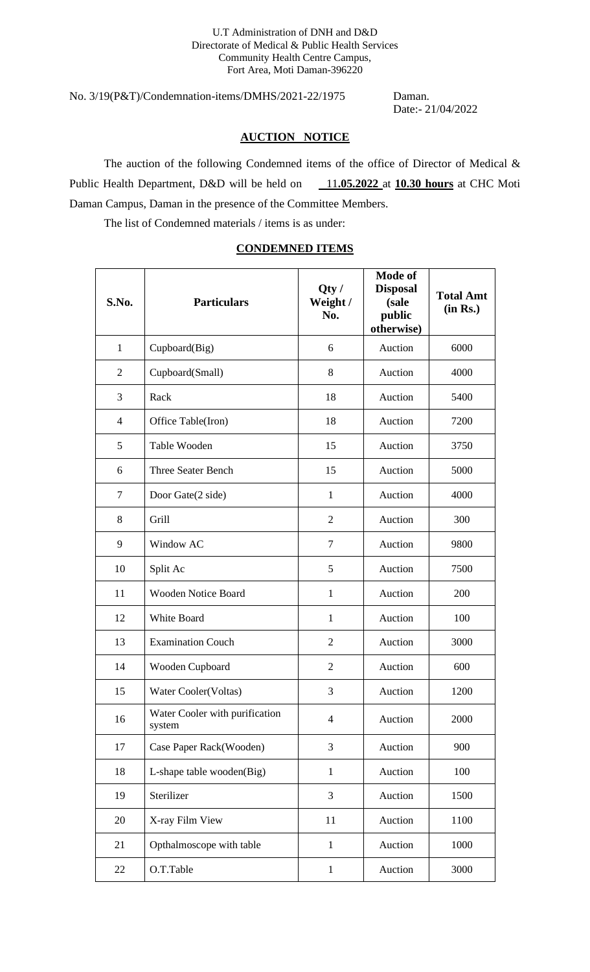No. 3/19(P&T)/Condemnation-items/DMHS/2021-22/1975 Daman.

Date:- 21/04/2022

### **AUCTION NOTICE**

The auction of the following Condemned items of the office of Director of Medical & Public Health Department, D&D will be held on  $11.05.2022$  at 10.30 hours at CHC Moti Daman Campus, Daman in the presence of the Committee Members.

The list of Condemned materials / items is as under:

### **CONDEMNED ITEMS**

| S.No.          | <b>Particulars</b>                       | Qty/<br>Weight /<br>No. | <b>Mode of</b><br><b>Disposal</b><br>(sale<br>public<br>otherwise) | <b>Total Amt</b><br>(in Rs.) |
|----------------|------------------------------------------|-------------------------|--------------------------------------------------------------------|------------------------------|
| $\mathbf{1}$   | Cupboard(Big)                            | 6                       | Auction                                                            | 6000                         |
| $\overline{2}$ | Cupboard(Small)                          | 8                       | Auction                                                            | 4000                         |
| 3              | Rack                                     | 18                      | Auction                                                            | 5400                         |
| 4              | Office Table(Iron)                       | 18                      | Auction                                                            | 7200                         |
| 5              | Table Wooden                             | 15                      | Auction                                                            | 3750                         |
| 6              | <b>Three Seater Bench</b>                | 15                      | Auction                                                            | 5000                         |
| $\tau$         | Door Gate(2 side)                        | 1                       | Auction                                                            | 4000                         |
| 8              | Grill                                    | $\overline{2}$          | Auction                                                            | 300                          |
| 9              | Window AC                                | $\overline{7}$          | Auction                                                            | 9800                         |
| 10             | Split Ac                                 | 5                       | Auction                                                            | 7500                         |
| 11             | <b>Wooden Notice Board</b>               | $\mathbf{1}$            | Auction                                                            | 200                          |
| 12             | White Board                              | $\mathbf{1}$            | Auction                                                            | 100                          |
| 13             | <b>Examination Couch</b>                 | $\overline{2}$          | Auction                                                            | 3000                         |
| 14             | Wooden Cupboard                          | $\overline{2}$          | Auction                                                            | 600                          |
| 15             | Water Cooler(Voltas)                     | 3                       | Auction                                                            | 1200                         |
| 16             | Water Cooler with purification<br>system | $\overline{4}$          | Auction                                                            | 2000                         |
| 17             | Case Paper Rack(Wooden)                  | 3                       | Auction                                                            | 900                          |
| 18             | L-shape table wooden(Big)                | $\mathbf{1}$            | Auction                                                            | 100                          |
| 19             | Sterilizer                               | 3                       | Auction                                                            | 1500                         |
| 20             | X-ray Film View                          | 11                      | Auction                                                            | 1100                         |
| 21             | Opthalmoscope with table                 | $\mathbf{1}$            | Auction                                                            | 1000                         |
| 22             | O.T.Table                                | $\mathbf{1}$            | Auction                                                            | 3000                         |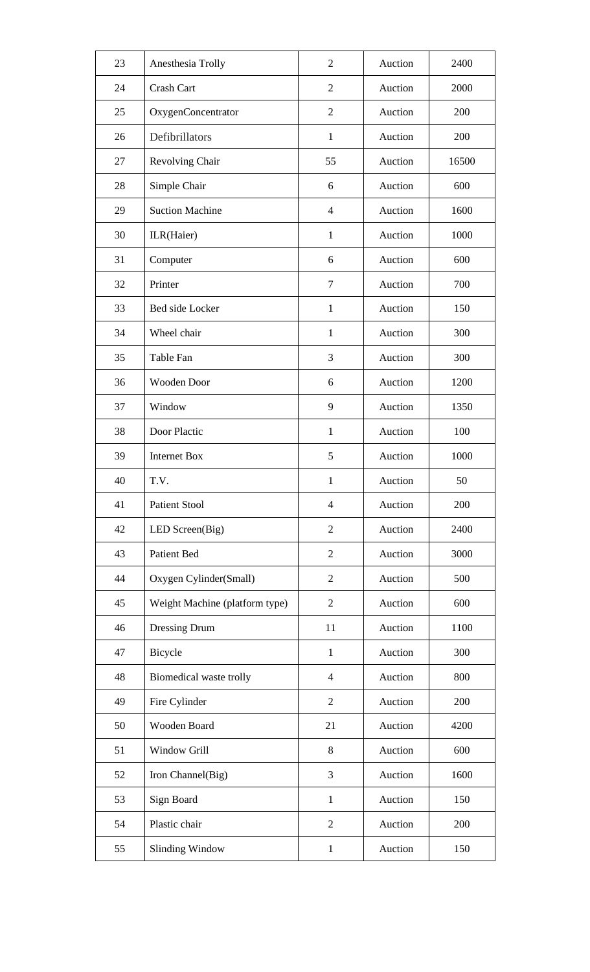| 23 | Anesthesia Trolly              | $\overline{2}$ | Auction | 2400  |
|----|--------------------------------|----------------|---------|-------|
| 24 | Crash Cart                     | $\overline{2}$ | Auction | 2000  |
| 25 | OxygenConcentrator             | $\overline{2}$ | Auction | 200   |
| 26 | Defibrillators                 | $\mathbf{1}$   | Auction | 200   |
| 27 | Revolving Chair                | 55             | Auction | 16500 |
| 28 | Simple Chair                   | 6              | Auction | 600   |
| 29 | <b>Suction Machine</b>         | $\overline{4}$ | Auction | 1600  |
| 30 | ILR(Haier)                     | $\mathbf{1}$   | Auction | 1000  |
| 31 | Computer                       | 6              | Auction | 600   |
| 32 | Printer                        | $\tau$         | Auction | 700   |
| 33 | Bed side Locker                | $\mathbf{1}$   | Auction | 150   |
| 34 | Wheel chair                    | $\mathbf{1}$   | Auction | 300   |
| 35 | Table Fan                      | 3              | Auction | 300   |
| 36 | <b>Wooden Door</b>             | 6              | Auction | 1200  |
| 37 | Window                         | 9              | Auction | 1350  |
| 38 | Door Plactic                   | $\mathbf{1}$   | Auction | 100   |
| 39 | <b>Internet Box</b>            | 5              | Auction | 1000  |
| 40 | T.V.                           | 1              | Auction | 50    |
| 41 | <b>Patient Stool</b>           | $\overline{4}$ | Auction | 200   |
| 42 | LED Screen(Big)                | $\overline{2}$ | Auction | 2400  |
| 43 | Patient Bed                    | $\overline{2}$ | Auction | 3000  |
| 44 | Oxygen Cylinder(Small)         | $\mathfrak{2}$ | Auction | 500   |
| 45 | Weight Machine (platform type) | $\mathfrak{2}$ | Auction | 600   |
| 46 | Dressing Drum                  | 11             | Auction | 1100  |
| 47 | Bicycle                        | 1              | Auction | 300   |
| 48 | Biomedical waste trolly        | $\overline{4}$ | Auction | 800   |
| 49 | Fire Cylinder                  | $\mathfrak{2}$ | Auction | 200   |
| 50 | Wooden Board                   | 21             | Auction | 4200  |
| 51 | Window Grill                   | 8              | Auction | 600   |
| 52 | Iron Channel(Big)              | 3              | Auction | 1600  |
| 53 | Sign Board                     | $\mathbf{1}$   | Auction | 150   |
| 54 | Plastic chair                  | $\overline{2}$ | Auction | 200   |
| 55 | <b>Slinding Window</b>         | $\mathbf{1}$   | Auction | 150   |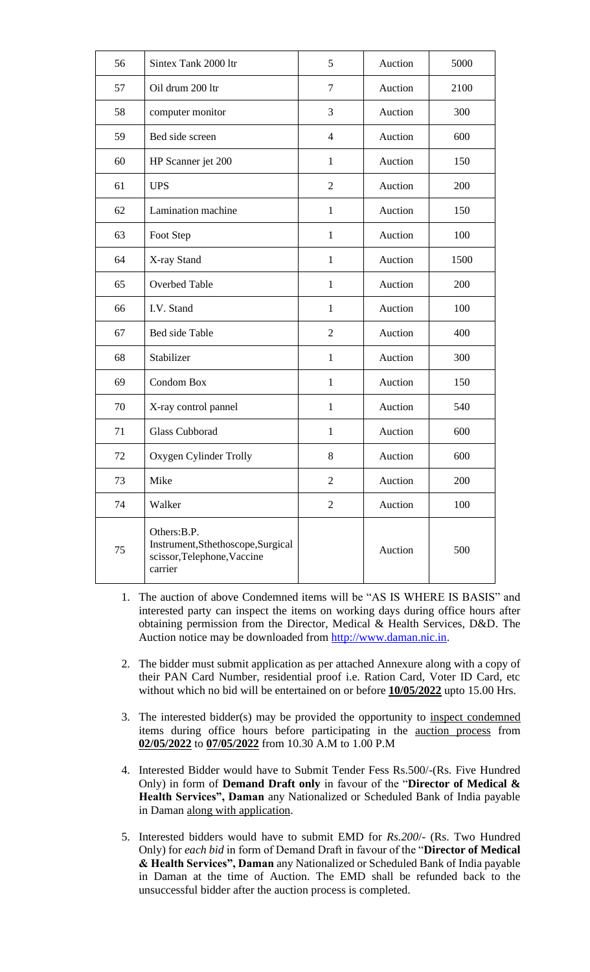| 56 | Sintex Tank 2000 ltr                                                                         | 5              | Auction | 5000 |
|----|----------------------------------------------------------------------------------------------|----------------|---------|------|
| 57 | Oil drum 200 ltr                                                                             | $\tau$         | Auction | 2100 |
| 58 | computer monitor                                                                             | 3              | Auction | 300  |
| 59 | Bed side screen                                                                              | $\overline{4}$ | Auction | 600  |
| 60 | HP Scanner jet 200                                                                           | $\mathbf{1}$   | Auction | 150  |
| 61 | <b>UPS</b>                                                                                   | $\overline{2}$ | Auction | 200  |
| 62 | Lamination machine                                                                           | $\mathbf{1}$   | Auction | 150  |
| 63 | Foot Step                                                                                    | $\mathbf{1}$   | Auction | 100  |
| 64 | X-ray Stand                                                                                  | $\mathbf{1}$   | Auction | 1500 |
| 65 | Overbed Table                                                                                | $\mathbf{1}$   | Auction | 200  |
| 66 | I.V. Stand                                                                                   | $\mathbf{1}$   | Auction | 100  |
| 67 | Bed side Table                                                                               | $\overline{2}$ | Auction | 400  |
| 68 | Stabilizer                                                                                   | $\mathbf{1}$   | Auction | 300  |
| 69 | Condom Box                                                                                   | $\mathbf{1}$   | Auction | 150  |
| 70 | X-ray control pannel                                                                         | $\mathbf{1}$   | Auction | 540  |
| 71 | <b>Glass Cubborad</b>                                                                        | $\mathbf{1}$   | Auction | 600  |
| 72 | Oxygen Cylinder Trolly                                                                       | 8              | Auction | 600  |
| 73 | Mike                                                                                         | 2              | Auction | 200  |
| 74 | Walker                                                                                       | $\overline{2}$ | Auction | 100  |
| 75 | Others: B.P.<br>Instrument, Sthethoscope, Surgical<br>scissor, Telephone, Vaccine<br>carrier |                | Auction | 500  |

- 1. The auction of above Condemned items will be "AS IS WHERE IS BASIS" and interested party can inspect the items on working days during office hours after obtaining permission from the Director, Medical & Health Services, D&D. The Auction notice may be downloaded from [http://www.daman.nic.in.](http://www.daman.nic.in/)
- 2. The bidder must submit application as per attached Annexure along with a copy of their PAN Card Number, residential proof i.e. Ration Card, Voter ID Card, etc without which no bid will be entertained on or before **10/05/2022** upto 15.00 Hrs.
- 3. The interested bidder(s) may be provided the opportunity to inspect condemned items during office hours before participating in the auction process from **02/05/2022** to **07/05/2022** from 10.30 A.M to 1.00 P.M
- 4. Interested Bidder would have to Submit Tender Fess Rs.500/-(Rs. Five Hundred Only) in form of **Demand Draft only** in favour of the "**Director of Medical & Health Services", Daman** any Nationalized or Scheduled Bank of India payable in Daman along with application.
- 5. Interested bidders would have to submit EMD for *Rs.200*/- (Rs. Two Hundred Only) for *each bid* in form of Demand Draft in favour of the "**Director of Medical & Health Services", Daman** any Nationalized or Scheduled Bank of India payable in Daman at the time of Auction. The EMD shall be refunded back to the unsuccessful bidder after the auction process is completed.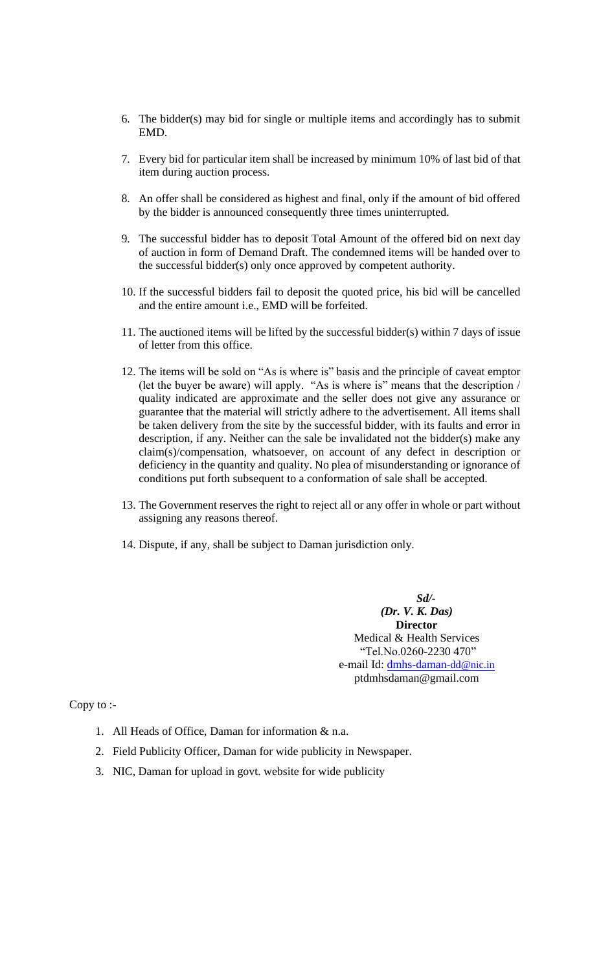- 6. The bidder(s) may bid for single or multiple items and accordingly has to submit EMD.
- 7. Every bid for particular item shall be increased by minimum 10% of last bid of that item during auction process.
- 8. An offer shall be considered as highest and final, only if the amount of bid offered by the bidder is announced consequently three times uninterrupted.
- 9. The successful bidder has to deposit Total Amount of the offered bid on next day of auction in form of Demand Draft. The condemned items will be handed over to the successful bidder(s) only once approved by competent authority.
- 10. If the successful bidders fail to deposit the quoted price, his bid will be cancelled and the entire amount i.e., EMD will be forfeited.
- 11. The auctioned items will be lifted by the successful bidder(s) within 7 days of issue of letter from this office.
- 12. The items will be sold on "As is where is" basis and the principle of caveat emptor (let the buyer be aware) will apply. "As is where is" means that the description / quality indicated are approximate and the seller does not give any assurance or guarantee that the material will strictly adhere to the advertisement. All items shall be taken delivery from the site by the successful bidder, with its faults and error in description, if any. Neither can the sale be invalidated not the bidder(s) make any claim(s)/compensation, whatsoever, on account of any defect in description or deficiency in the quantity and quality. No plea of misunderstanding or ignorance of conditions put forth subsequent to a conformation of sale shall be accepted.
- 13. The Government reserves the right to reject all or any offer in whole or part without assigning any reasons thereof.
- 14. Dispute, if any, shall be subject to Daman jurisdiction only.

*Sd/- (Dr. V. K. Das)* **Director** Medical & Health Services "Tel.No.0260-2230 470" e-mail Id: [dmhs-daman](mailto:dmhs-daman-dd@nic.in)[-dd@nic.in](mailto:dmhs-daman-dd@nic.in) ptdmhsdaman@gmail.com

Copy to :-

- 1. All Heads of Office, Daman for information & n.a.
- 2. Field Publicity Officer, Daman for wide publicity in Newspaper.
- 3. NIC, Daman for upload in govt. website for wide publicity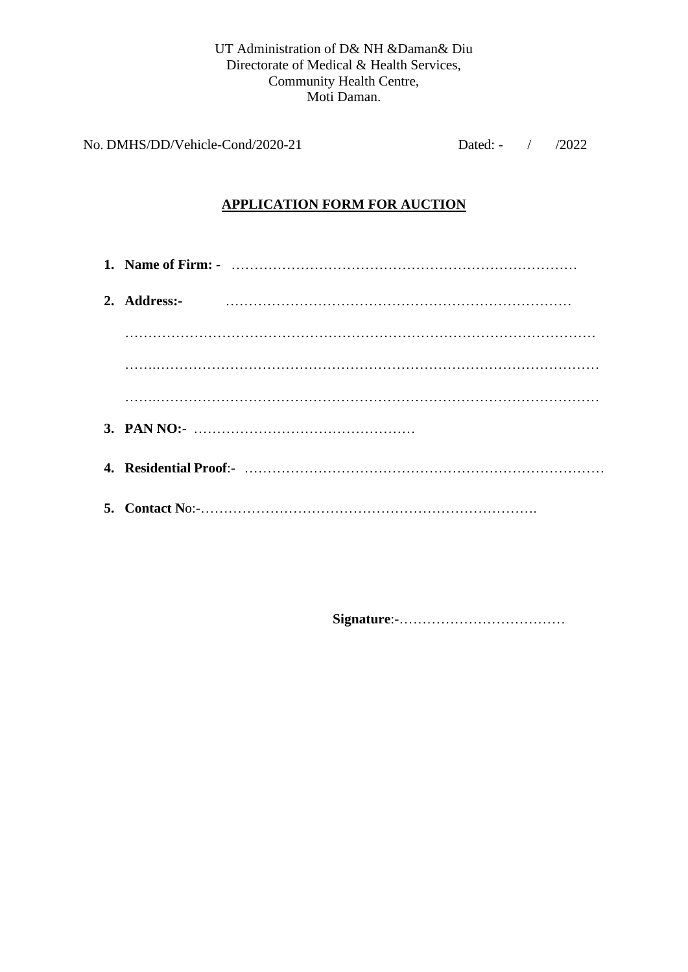#### UT Administration of D& NH &Daman& Diu Directorate of Medical & Health Services, Community Health Centre, Moti Daman.

No. DMHS/DD/Vehicle-Cond/2020-21 Dated: - / /2022

### **APPLICATION FORM FOR AUCTION**

**1. Name of Firm: -** ………………………………………………………………… **2. Address:-** ………………………………………………………………… ………………………………………………………………………………………… …….…………………………………………………………………………………… …….…………………………………………………………………………………… **3. PAN NO:**- ………………………………………… **4. Residential Proof**:- …………………………………………………………………… **5. Contact N**o:-……………………………………………………………….

**Signature**:-………………………………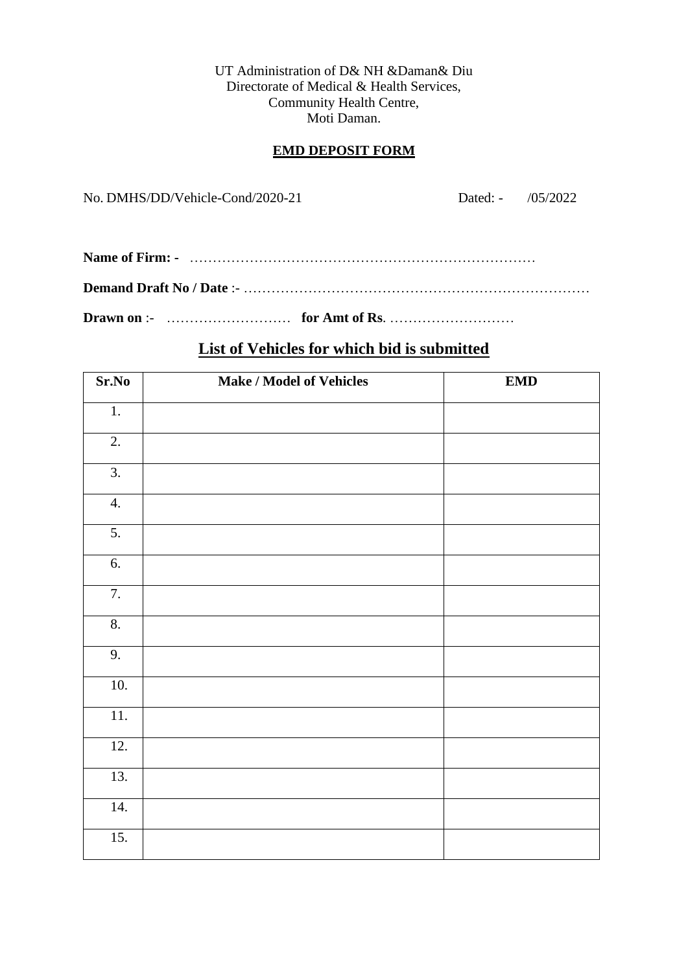UT Administration of D& NH &Daman& Diu Directorate of Medical & Health Services, Community Health Centre, Moti Daman.

### **EMD DEPOSIT FORM**

No. DMHS/DD/Vehicle-Cond/2020-21 Dated: - /05/2022

## **List of Vehicles for which bid is submitted**

| Sr.No             | <b>Make / Model of Vehicles</b> | EMD |
|-------------------|---------------------------------|-----|
| $\overline{1}$ .  |                                 |     |
| 2.                |                                 |     |
| $\overline{3}$ .  |                                 |     |
| 4.                |                                 |     |
| 5.                |                                 |     |
| 6.                |                                 |     |
| 7.                |                                 |     |
| 8.                |                                 |     |
| 9.                |                                 |     |
| 10.               |                                 |     |
| $\overline{11}$ . |                                 |     |
| 12.               |                                 |     |
| 13.               |                                 |     |
| 14.               |                                 |     |
| 15.               |                                 |     |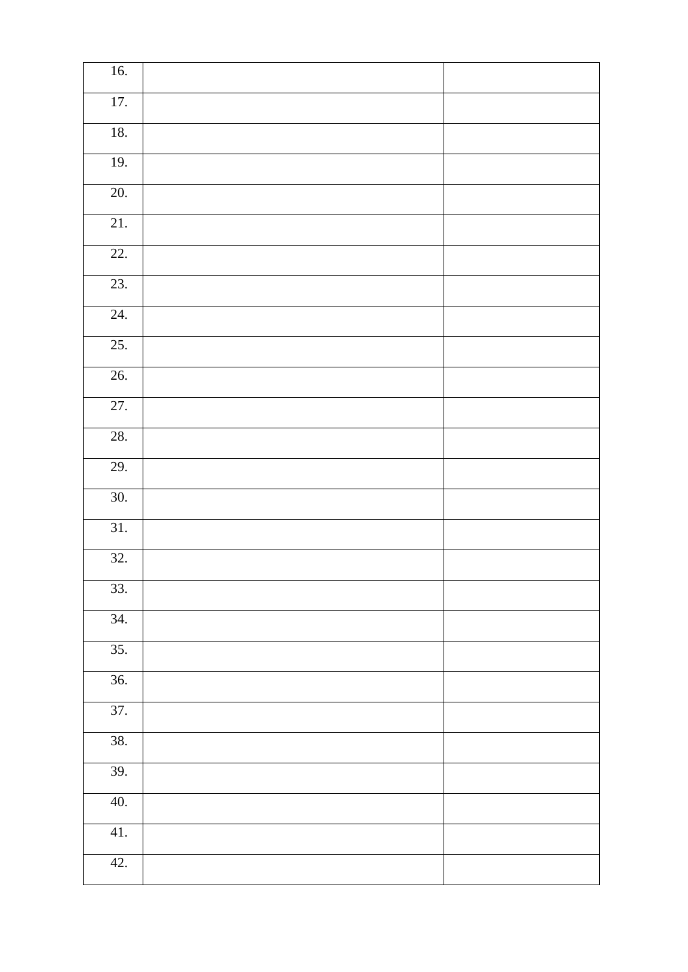| 16.               |  |
|-------------------|--|
| $\overline{17}$ . |  |
| $18.$             |  |
| 19.               |  |
| 20.               |  |
| 21.               |  |
| $\overline{22}$ . |  |
| 23.               |  |
| 24.               |  |
| 25.               |  |
| 26.               |  |
| 27.               |  |
| 28.               |  |
| $\overline{29}$ . |  |
| 30.               |  |
| $\overline{31}$ . |  |
| 32.               |  |
| 33.               |  |
| $\overline{34.}$  |  |
| $\overline{35}$ . |  |
| $\overline{36}$ . |  |
| 37.               |  |
| 38.               |  |
| 39.               |  |
| 40.               |  |
| 41.               |  |
| 42.               |  |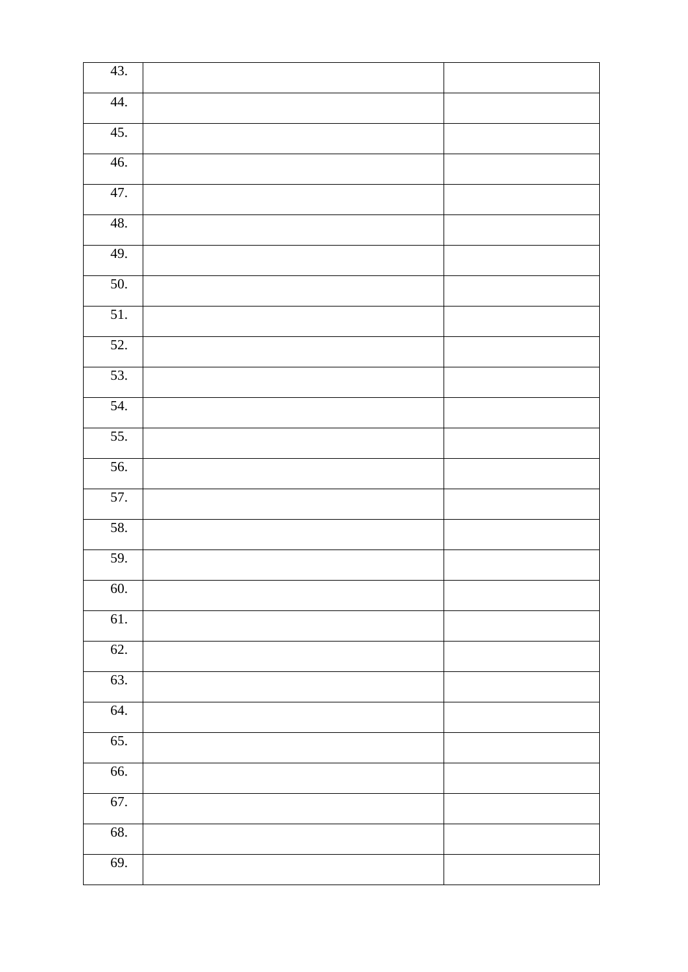| 43.               |  |
|-------------------|--|
| 44.               |  |
| 45.               |  |
| 46.               |  |
| 47.               |  |
| 48.               |  |
| 49.               |  |
| $\overline{50}$ . |  |
| 51.               |  |
| 52.               |  |
| 53.               |  |
| $\overline{54}$ . |  |
| 55.               |  |
| 56.               |  |
| 57.               |  |
| 58.               |  |
| 59.               |  |
| 60.               |  |
| 61.               |  |
| 62.               |  |
| 63.               |  |
| 64.               |  |
| 65.               |  |
| 66.               |  |
| 67.               |  |
| 68.               |  |
| 69.               |  |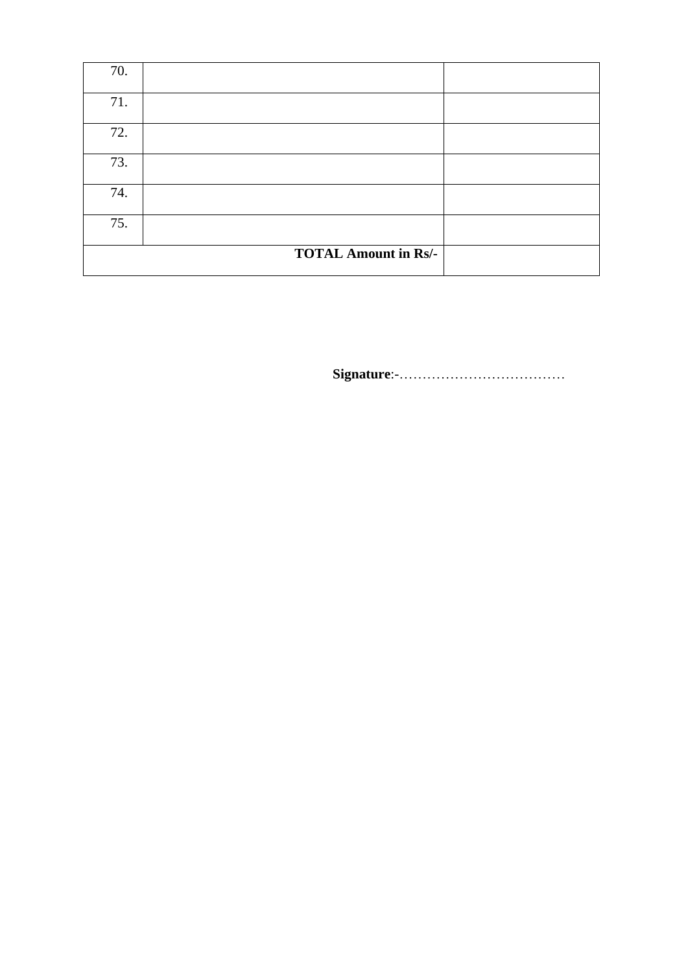| 70. |                             |  |
|-----|-----------------------------|--|
| 71. |                             |  |
| 72. |                             |  |
| 73. |                             |  |
| 74. |                             |  |
| 75. |                             |  |
|     | <b>TOTAL Amount in Rs/-</b> |  |

**Signature**:-………………………………